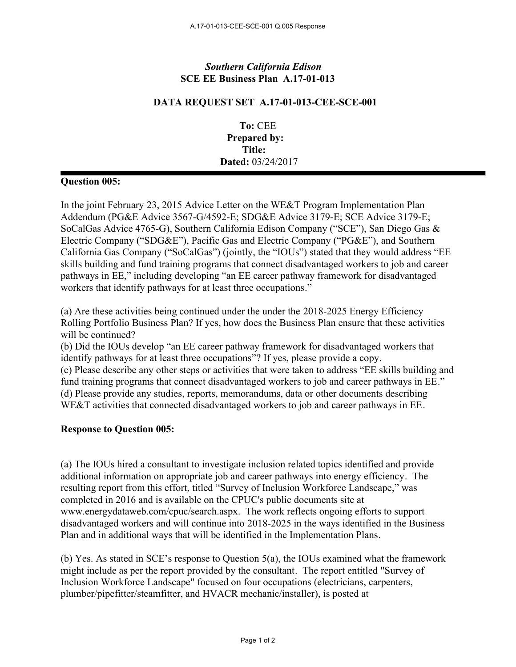## *Southern California Edison* **SCE EE Business Plan A.17-01-013**

## **DATA REQUEST SET A.17-01-013-CEE-SCE-001**

**To:** CEE **Prepared by: Title: Dated:** 03/24/2017

## **Question 005:**

In the joint February 23, 2015 Advice Letter on the WE&T Program Implementation Plan Addendum (PG&E Advice 3567-G/4592-E; SDG&E Advice 3179-E; SCE Advice 3179-E; SoCalGas Advice 4765-G), Southern California Edison Company ("SCE"), San Diego Gas & Electric Company ("SDG&E"), Pacific Gas and Electric Company ("PG&E"), and Southern California Gas Company ("SoCalGas") (jointly, the "IOUs") stated that they would address "EE skills building and fund training programs that connect disadvantaged workers to job and career pathways in EE," including developing "an EE career pathway framework for disadvantaged workers that identify pathways for at least three occupations."

(a) Are these activities being continued under the under the 2018-2025 Energy Efficiency Rolling Portfolio Business Plan? If yes, how does the Business Plan ensure that these activities will be continued?

(b) Did the IOUs develop "an EE career pathway framework for disadvantaged workers that identify pathways for at least three occupations"? If yes, please provide a copy. (c) Please describe any other steps or activities that were taken to address "EE skills building and fund training programs that connect disadvantaged workers to job and career pathways in EE." (d) Please provide any studies, reports, memorandums, data or other documents describing WE&T activities that connected disadvantaged workers to job and career pathways in EE.

## **Response to Question 005:**

(a) The IOUs hired a consultant to investigate inclusion related topics identified and provide additional information on appropriate job and career pathways into energy efficiency. The resulting report from this effort, titled "Survey of Inclusion Workforce Landscape," was completed in 2016 and is available on the CPUC's public documents site at www.energydataweb.com/cpuc/search.aspx. The work reflects ongoing efforts to support disadvantaged workers and will continue into 2018-2025 in the ways identified in the Business Plan and in additional ways that will be identified in the Implementation Plans.

(b) Yes. As stated in SCE's response to Question 5(a), the IOUs examined what the framework might include as per the report provided by the consultant. The report entitled "Survey of Inclusion Workforce Landscape" focused on four occupations (electricians, carpenters, plumber/pipefitter/steamfitter, and HVACR mechanic/installer), is posted at